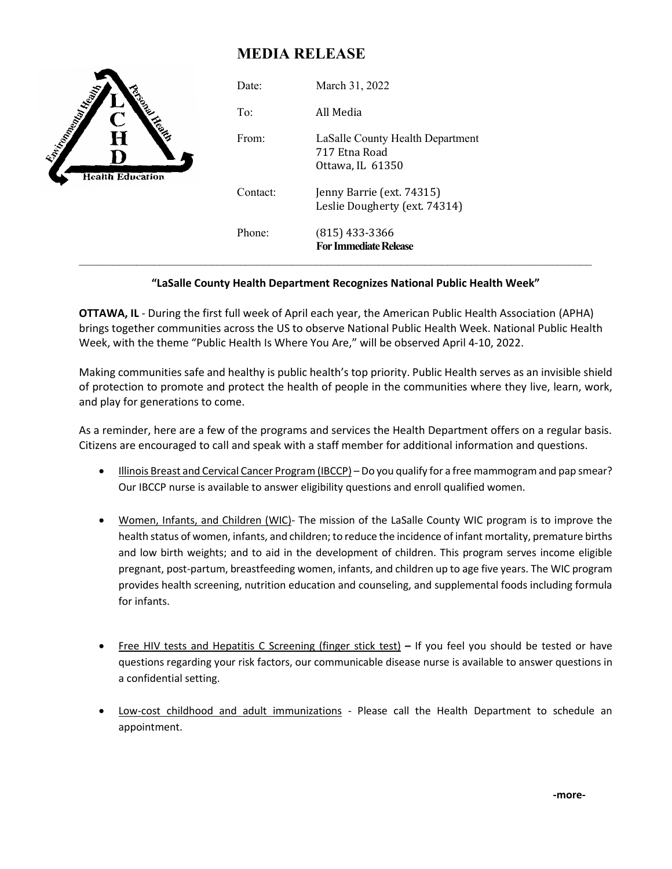## **MEDIA RELEASE**

| <b>Charles Company Report</b><br>Ċ<br>$\bf H$<br><b>Health Education</b> | Date:    | March 31, 2022                                                        |
|--------------------------------------------------------------------------|----------|-----------------------------------------------------------------------|
|                                                                          | To:      | All Media                                                             |
|                                                                          | From:    | LaSalle County Health Department<br>717 Etna Road<br>Ottawa, IL 61350 |
|                                                                          | Contact: | Jenny Barrie (ext. 74315)<br>Leslie Dougherty (ext. 74314)            |
|                                                                          | Phone:   | $(815)$ 433-3366<br><b>For Immediate Release</b>                      |

## **"LaSalle County Health Department Recognizes National Public Health Week"**

**OTTAWA, IL** - During the first full week of April each year, the American Public Health Association (APHA) brings together communities across the US to observe National Public Health Week. National Public Health Week, with the theme "Public Health Is Where You Are," will be observed April 4-10, 2022.

Making communities safe and healthy is public health's top priority. Public Health serves as an invisible shield of protection to promote and protect the health of people in the communities where they live, learn, work, and play for generations to come.

As a reminder, here are a few of the programs and services the Health Department offers on a regular basis. Citizens are encouraged to call and speak with a staff member for additional information and questions.

- Illinois Breast and Cervical Cancer Program (IBCCP) Do you qualify for a free mammogram and pap smear? Our IBCCP nurse is available to answer eligibility questions and enroll qualified women.
- Women, Infants, and Children (WIC)- The mission of the LaSalle County WIC program is to improve the health status of women, infants, and children; to reduce the incidence of infant mortality, premature births and low birth weights; and to aid in the development of children. This program serves income eligible pregnant, post-partum, breastfeeding women, infants, and children up to age five years. The WIC program provides health screening, nutrition education and counseling, and supplemental foods including formula for infants.
- Free HIV tests and Hepatitis C Screening (finger stick test) **–** If you feel you should be tested or have questions regarding your risk factors, our communicable disease nurse is available to answer questions in a confidential setting.
- **Low-cost childhood and adult immunizations** Please call the Health Department to schedule an appointment.